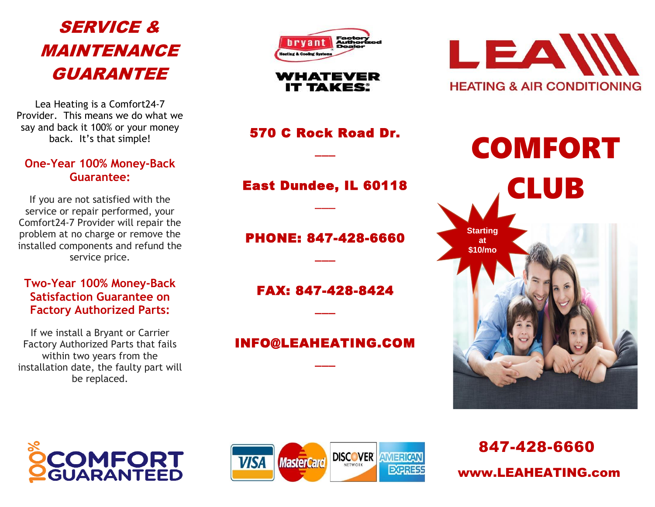# SERVICE & MAINTENANCE GUARANTEE

Lea Heating is a Comfort24-7 Provider. This means we do what we say and back it 100% or your money back. It's that simple!

#### **One-Year 100% Money-Back Guarantee:**

If you are not satisfied with the service or repair performed, your Comfort24-7 Provider will repair the problem at no charge or remove the installed components and refund the service price.

#### **Two-Year 100% Money-Back Satisfaction Guarantee on Factory Authorized Parts:**

If we install a Bryant or Carrier Factory Authorized Parts that fails within two years from the installation date, the faulty part will be replaced.



WHATEVER **IT TAKES:** 

570 C Rock Road Dr.

 $\overline{\phantom{a}}$ 

### East Dundee, IL 60118

\_\_\_

### PHONE: 847-428-6660

 $\overline{\phantom{a}}$ 

FAX: 847-428-8424

 $\overline{\phantom{a}}$ 

## INFO@LEAHEATING.COM

\_\_\_



COMFORT CLUB **Starting at \$10/mo**





847-428-6660 www.LEAHEATING.com